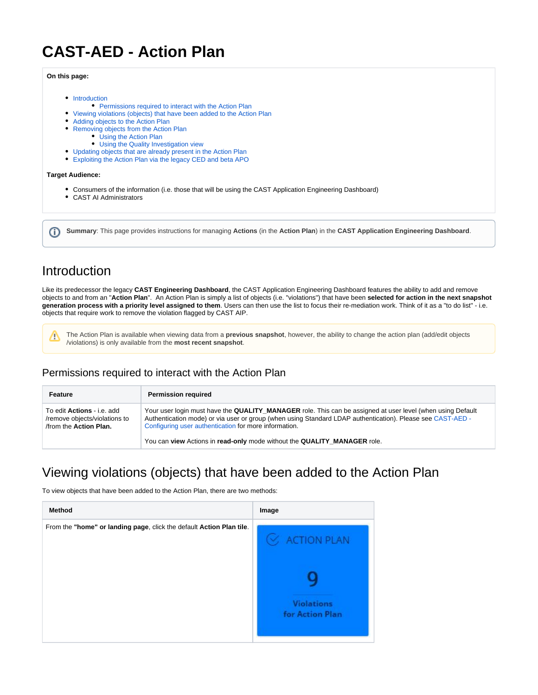# **CAST-AED - Action Plan**

#### **On this page:**

- [Introduction](#page-0-0)
- [Permissions required to interact with the Action Plan](#page-0-1)
- [Viewing violations \(objects\) that have been added to the Action Plan](#page-0-2)
- [Adding objects to the Action Plan](#page-2-0)
- [Removing objects from the Action Plan](#page-3-0)
	- [Using the Action Plan](#page-4-0)
		- [Using the Quality Investigation view](#page-4-1)
- [Updating objects that are already present in the Action Plan](#page-4-2)
- [Exploiting the Action Plan via the legacy CED and beta APO](#page-5-0)

#### **Target Audience:**

- Consumers of the information (i.e. those that will be using the CAST Application Engineering Dashboard)
- CAST AI Administrators

**Summary**: This page provides instructions for managing **Actions** (in the **Action Plan**) in the **CAST Application Engineering Dashboard**.

### <span id="page-0-0"></span>Introduction

Like its predecessor the legacy **CAST Engineering Dashboard**, the CAST Application Engineering Dashboard features the ability to add and remove objects to and from an "**Action Plan**". An Action Plan is simply a list of objects (i.e. "violations") that have been **selected for action in the next snapshot generation process with a priority level assigned to them**. Users can then use the list to focus their re-mediation work. Think of it as a "to do list" - i.e. objects that require work to remove the violation flagged by CAST AIP.

Λ

⊕

The Action Plan is available when viewing data from a **previous snapshot**, however, the ability to change the action plan (add/edit objects /violations) is only available from the **most recent snapshot**.

### <span id="page-0-1"></span>Permissions required to interact with the Action Plan

| Feature                                                                              | <b>Permission required</b>                                                                                                                                                                                                                                                        |
|--------------------------------------------------------------------------------------|-----------------------------------------------------------------------------------------------------------------------------------------------------------------------------------------------------------------------------------------------------------------------------------|
| To edit Actions - i.e. add<br>/remove objects/violations to<br>from the Action Plan. | Your user login must have the QUALITY_MANAGER role. This can be assigned at user level (when using Default<br>Authentication mode) or via user or group (when using Standard LDAP authentication). Please see CAST-AED -<br>Configuring user authentication for more information. |
|                                                                                      | You can view Actions in read-only mode without the QUALITY MANAGER role.                                                                                                                                                                                                          |

## <span id="page-0-2"></span>Viewing violations (objects) that have been added to the Action Plan

To view objects that have been added to the Action Plan, there are two methods:

| <b>Method</b>                                                        | Image                                |
|----------------------------------------------------------------------|--------------------------------------|
| From the "home" or landing page, click the default Action Plan tile. | $\odot$ ACTION PLAN                  |
|                                                                      |                                      |
|                                                                      | <b>Violations</b><br>for Action Plan |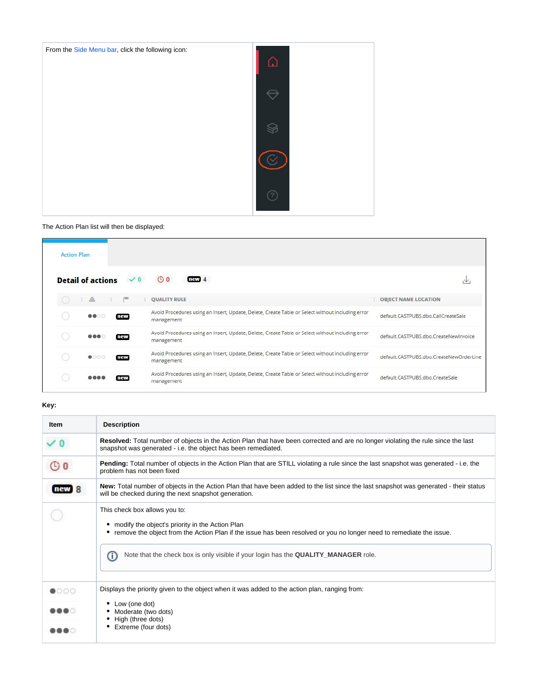

#### The Action Plan list will then be displayed:

| <b>Action Plan</b> |                                 |                |                                                                                                                |                                         |
|--------------------|---------------------------------|----------------|----------------------------------------------------------------------------------------------------------------|-----------------------------------------|
|                    | <b>Detail of actions</b>        | $\checkmark$ 0 | $\odot$ 0<br>new4                                                                                              | N.                                      |
|                    | 三                               | F              | <b>QUALITY RULE</b>                                                                                            | <b>OBJECT NAME LOCATION</b>             |
|                    | <b>8800</b>                     | new            | Avoid Procedures using an Insert, Update, Delete, Create Table or Select without including error<br>management | default.CASTPUBS.dbo.CallCreateSale     |
|                    | $\bullet\bullet\bullet\text{-}$ | new            | Avoid Procedures using an Insert, Update, Delete, Create Table or Select without including error<br>management | default.CASTPUBS.dbo.CreateNewInvoice   |
|                    | $\bullet$ 000                   | new            | Avoid Procedures using an Insert, Update, Delete, Create Table or Select without including error<br>management | default.CASTPUBS.dbo.CreateNewOrderLine |
|                    |                                 | new            | Avoid Procedures using an Insert, Update, Delete, Create Table or Select without including error<br>management | default.CASTPUBS.dbo.CreateSale         |

#### **Key:**

| Item          | <b>Description</b>                                                                                                                                                                                                                                                                                    |  |  |  |  |  |  |
|---------------|-------------------------------------------------------------------------------------------------------------------------------------------------------------------------------------------------------------------------------------------------------------------------------------------------------|--|--|--|--|--|--|
|               | Resolved: Total number of objects in the Action Plan that have been corrected and are no longer violating the rule since the last<br>snapshot was generated - i.e. the object has been remediated.                                                                                                    |  |  |  |  |  |  |
| $\circ$       | Pending: Total number of objects in the Action Plan that are STILL violating a rule since the last snapshot was generated - i.e. the<br>problem has not been fixed                                                                                                                                    |  |  |  |  |  |  |
|               | New: Total number of objects in the Action Plan that have been added to the list since the last snapshot was generated - their status<br>will be checked during the next snapshot generation.                                                                                                         |  |  |  |  |  |  |
|               | This check box allows you to:<br>modify the object's priority in the Action Plan<br>• remove the object from the Action Plan if the issue has been resolved or you no longer need to remediate the issue.<br>Note that the check box is only visible if your login has the QUALITY_MANAGER role.<br>Œ |  |  |  |  |  |  |
| $\bullet$ 000 | Displays the priority given to the object when it was added to the action plan, ranging from:                                                                                                                                                                                                         |  |  |  |  |  |  |
| <br>          | • Low (one dot)<br>Moderate (two dots)<br>High (three dots)<br>Extreme (four dots)                                                                                                                                                                                                                    |  |  |  |  |  |  |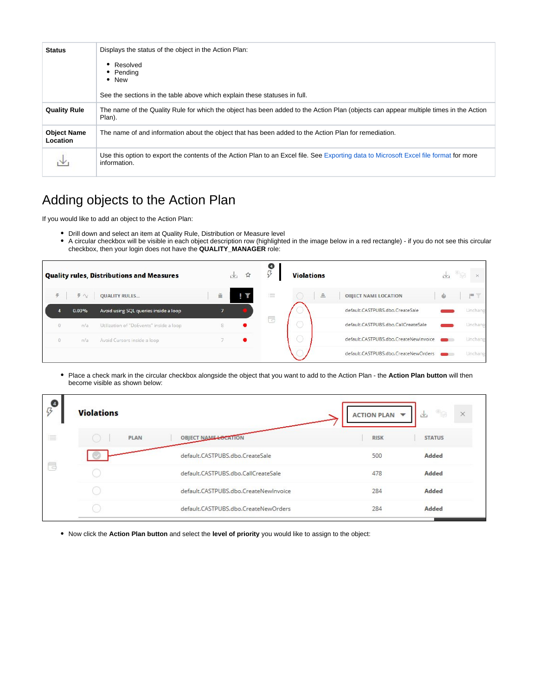| <b>Status</b>                  | Displays the status of the object in the Action Plan:                                                                                                  |
|--------------------------------|--------------------------------------------------------------------------------------------------------------------------------------------------------|
|                                | • Resolved<br>• Pendina<br>$\bullet$ New<br>See the sections in the table above which explain these statuses in full.                                  |
| <b>Quality Rule</b>            | The name of the Quality Rule for which the object has been added to the Action Plan (objects can appear multiple times in the Action<br>Plan).         |
| <b>Object Name</b><br>Location | The name of and information about the object that has been added to the Action Plan for remediation.                                                   |
|                                | Use this option to export the contents of the Action Plan to an Excel file. See Exporting data to Microsoft Excel file format for more<br>information. |

# <span id="page-2-0"></span>Adding objects to the Action Plan

If you would like to add an object to the Action Plan:

- Drill down and select an item at Quality Rule, Distribution or Measure level
- $\bullet$ A circular checkbox will be visible in each object description row (highlighted in the image below in a red rectangle) - if you do not see this circular checkbox, then your login does not have the **QUALITY\_MANAGER** role:



• Place a check mark in the circular checkbox alongside the object that you want to add to the Action Plan - the Action Plan button will then become visible as shown below:

| $\beta$                                   | <b>Violations</b> |                                       | ACTION PLAN V | s<br>$\vee$<br>X |
|-------------------------------------------|-------------------|---------------------------------------|---------------|------------------|
| $\sim$<br>$\frac{1}{2}$<br>$\sim$<br>---- | <b>PLAN</b>       | <b>OBJECT NAME LOCATION</b>           | <b>RISK</b>   | <b>STATUS</b>    |
|                                           |                   | default.CASTPUBS.dbo.CreateSale       | 500           | Added            |
| 局                                         |                   | default.CASTPUBS.dbo.CallCreateSale   | 478           | Added            |
|                                           |                   | default.CASTPUBS.dbo.CreateNewInvoice | 284           | Added            |
|                                           |                   | default.CASTPUBS.dbo.CreateNewOrders  | 284           | Added            |

Now click the **Action Plan button** and select the **level of priority** you would like to assign to the object: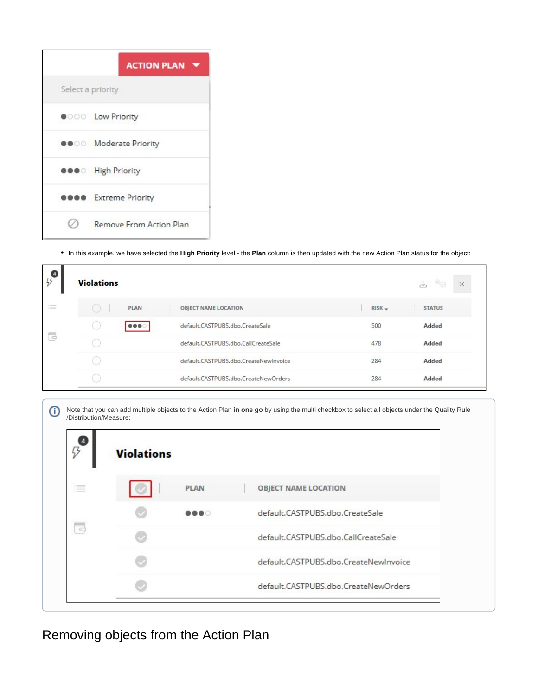|                   | <b>ACTION PLAN</b>             |
|-------------------|--------------------------------|
| Select a priority |                                |
|                   | <b>OOO</b> Low Priority        |
|                   | <b>OO</b> Moderate Priority    |
|                   | <b>OOO</b> High Priority       |
|                   | <b>B</b> Extreme Priority      |
|                   | <b>Remove From Action Plan</b> |

In this example, we have selected the **High Priority** level - the **Plan** column is then updated with the new Action Plan status for the object:

| $\boldsymbol{\beta}$ | <b>Violations</b> |             |                                       |          | ❤<br>$\downarrow$<br>× |
|----------------------|-------------------|-------------|---------------------------------------|----------|------------------------|
| 這<br>$\frac{1}{2}$   |                   | <b>PLAN</b> | <b>OBJECT NAME LOCATION</b>           | $RISK -$ | <b>STATUS</b>          |
|                      |                   |             | default.CASTPUBS.dbo.CreateSale       | 500      | Added                  |
| t                    |                   |             | default.CASTPUBS.dbo.CallCreateSale   | 478      | Added                  |
|                      |                   |             | default.CASTPUBS.dbo.CreateNewInvoice | 284      | Added                  |
|                      |                   |             | default.CASTPUBS.dbo.CreateNewOrders  | 284      | Added                  |

|  | (i) Note that you can add multiple objects to the Action Plan in one go by using the multi checkbox to select all objects under the Quality Rule /Distribution/Measure: |
|--|-------------------------------------------------------------------------------------------------------------------------------------------------------------------------|
|--|-------------------------------------------------------------------------------------------------------------------------------------------------------------------------|

| 4/3 | <b>Violations</b> |             |                                       |
|-----|-------------------|-------------|---------------------------------------|
| 津   |                   | <b>PLAN</b> | <b>OBJECT NAME LOCATION</b>           |
|     |                   | .           | default.CASTPUBS.dbo.CreateSale       |
| E.  |                   |             | default.CASTPUBS.dbo.CallCreateSale   |
|     |                   |             | default.CASTPUBS.dbo.CreateNewInvoice |
|     |                   |             | default.CASTPUBS.dbo.CreateNewOrders  |

<span id="page-3-0"></span>Removing objects from the Action Plan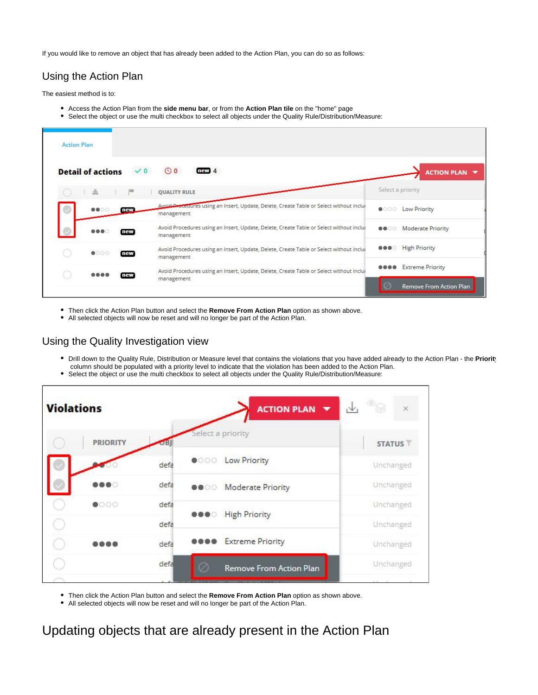If you would like to remove an object that has already been added to the Action Plan, you can do so as follows:

### <span id="page-4-0"></span>Using the Action Plan

The easiest method is to:

- Access the Action Plan from the **side menu bar**, or from the **Action Plan tile** on the "home" page
- Select the object or use the multi checkbox to select all objects under the Quality Rule/Distribution/Measure:

| <b>Action Plan</b> |                                            |                                                                                                       |                                                                                   |
|--------------------|--------------------------------------------|-------------------------------------------------------------------------------------------------------|-----------------------------------------------------------------------------------|
|                    | <b>Detail of actions</b><br>$\checkmark$ 0 | $\bigcirc$ 0<br>$n$ av $4$                                                                            | <b>ACTION PLAN V</b>                                                              |
|                    | A.                                         | <b>QUALITY RULE</b>                                                                                   | Select a priority                                                                 |
| $\circ$            | <b>8800</b><br>new                         | Avaid Droceuures using an Insert, Update, Delete, Create Table or Select without inclui<br>management | Low Priority<br>$\bullet$ 000                                                     |
|                    | $\bullet\bullet\bullet$<br>new             | Avoid Procedures using an Insert, Update, Delete, Create Table or Select without inclui<br>management | <b>Moderate Priority</b><br>                                                      |
|                    | $\bullet$ 000<br>new                       | Avoid Procedures using an Insert, Update, Delete, Create Table or Select without inclui<br>management | <b>High Priority</b><br>$\begin{array}{c} \bullet\bullet\bullet\circ \end{array}$ |
|                    | new                                        | Avoid Procedures using an Insert, Update, Delete, Create Table or Select without inclui               | <b>Extreme Priority</b>                                                           |
|                    |                                            | management                                                                                            | Remove From Action Plan                                                           |

Then click the Action Plan button and select the **Remove From Action Plan** option as shown above.

• All selected objects will now be reset and will no longer be part of the Action Plan.

#### <span id="page-4-1"></span>Using the Quality Investigation view

- Drill down to the Quality Rule, Distribution or Measure level that contains the violations that you have added already to the Action Plan the **Priority** column should be populated with a priority level to indicate that the violation has been added to the Action Plan.
- Select the object or use the multi checkbox to select all objects under the Quality Rule/Distribution/Measure:

| <b>Violations</b> |                 |      |                                                                                  | ACTION PLAN V               | $\vee$<br>$\times$ |
|-------------------|-----------------|------|----------------------------------------------------------------------------------|-----------------------------|--------------------|
|                   | <b>PRIORITY</b> |      | Select a priority                                                                |                             | <b>STATUS</b>      |
|                   |                 | defa |                                                                                  | <b>OOO</b> Low Priority     | Unchanged          |
|                   | . .             | defa |                                                                                  | <b>OO</b> Moderate Priority | Unchanged          |
|                   | $\bullet$ 000   | defa | $\begin{array}{ccccc} \bullet & \bullet & \bullet & \circ \end{array}$           | <b>High Priority</b>        | Unchanged          |
|                   |                 | defa |                                                                                  |                             | Unchanged          |
|                   |                 | defa | $\begin{array}{ccc} \bullet & \bullet & \bullet & \bullet & \bullet \end{array}$ | <b>Extreme Priority</b>     | Unchanged          |
|                   |                 | defa | Ω                                                                                | Remove From Action Plan     | Unchanged          |
|                   |                 |      |                                                                                  |                             |                    |

Then click the Action Plan button and select the **Remove From Action Plan** option as shown above.

All selected objects will now be reset and will no longer be part of the Action Plan.

<span id="page-4-2"></span>Updating objects that are already present in the Action Plan